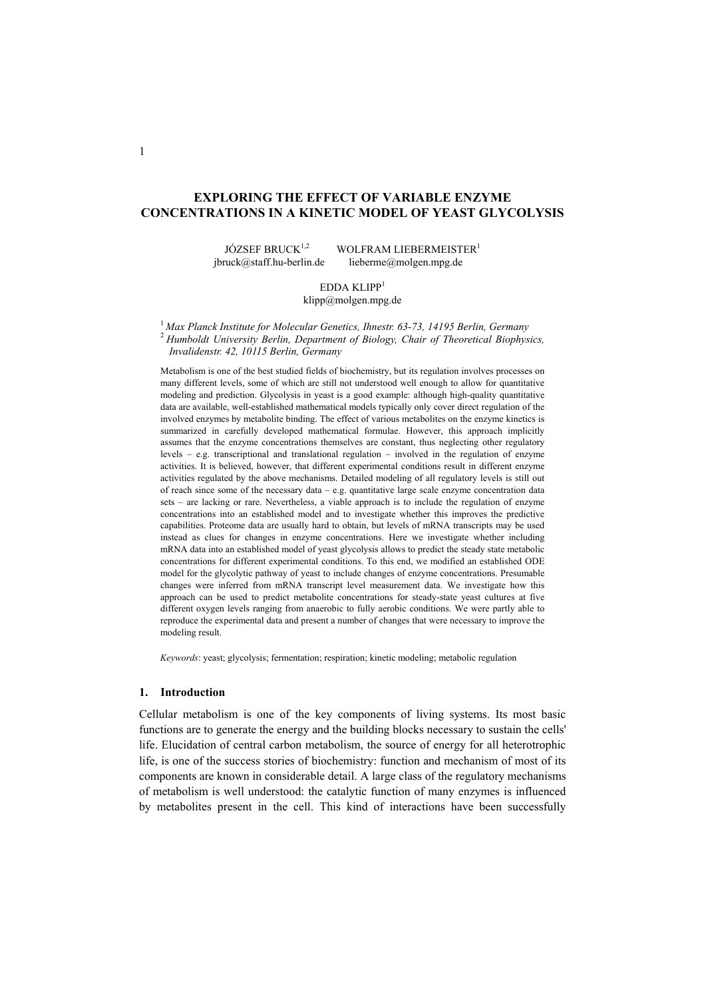# **EXPLORING THE EFFECT OF VARIABLE ENZYME CONCENTRATIONS IN A KINETIC MODEL OF YEAST GLYCOLYSIS**

JÓZSEF BRUCK<sup>1,2</sup> WOLFRAM LIEBERMEISTER<sup>1</sup> jbruck@staff.hu-berlin.de lieberme@molgen.mpg.de

> $EDDA$  KLIPP<sup>1</sup> klipp@molgen.mpg.de

<sup>1</sup> Max Planck Institute for Molecular Genetics, Ihnestr. 63-73, 14195 Berlin, Germany <sup>2</sup><br><sup>2</sup> Humboldt University Berlin, Department of Biology, Chair of Theoretical Biophysics, *Invalidenstr. 42, 10115 Berlin, Germany* 

Metabolism is one of the best studied fields of biochemistry, but its regulation involves processes on many different levels, some of which are still not understood well enough to allow for quantitative modeling and prediction. Glycolysis in yeast is a good example: although high-quality quantitative data are available, well-established mathematical models typically only cover direct regulation of the involved enzymes by metabolite binding. The effect of various metabolites on the enzyme kinetics is summarized in carefully developed mathematical formulae. However, this approach implicitly assumes that the enzyme concentrations themselves are constant, thus neglecting other regulatory levels – e.g. transcriptional and translational regulation – involved in the regulation of enzyme activities. It is believed, however, that different experimental conditions result in different enzyme activities regulated by the above mechanisms. Detailed modeling of all regulatory levels is still out of reach since some of the necessary data – e.g. quantitative large scale enzyme concentration data sets – are lacking or rare. Nevertheless, a viable approach is to include the regulation of enzyme concentrations into an established model and to investigate whether this improves the predictive capabilities. Proteome data are usually hard to obtain, but levels of mRNA transcripts may be used instead as clues for changes in enzyme concentrations. Here we investigate whether including mRNA data into an established model of yeast glycolysis allows to predict the steady state metabolic concentrations for different experimental conditions. To this end, we modified an established ODE model for the glycolytic pathway of yeast to include changes of enzyme concentrations. Presumable changes were inferred from mRNA transcript level measurement data. We investigate how this approach can be used to predict metabolite concentrations for steady-state yeast cultures at five different oxygen levels ranging from anaerobic to fully aerobic conditions. We were partly able to reproduce the experimental data and present a number of changes that were necessary to improve the modeling result.

*Keywords*: yeast; glycolysis; fermentation; respiration; kinetic modeling; metabolic regulation

## **1. Introduction**

Cellular metabolism is one of the key components of living systems. Its most basic functions are to generate the energy and the building blocks necessary to sustain the cells' life. Elucidation of central carbon metabolism, the source of energy for all heterotrophic life, is one of the success stories of biochemistry: function and mechanism of most of its components are known in considerable detail. A large class of the regulatory mechanisms of metabolism is well understood: the catalytic function of many enzymes is influenced by metabolites present in the cell. This kind of interactions have been successfully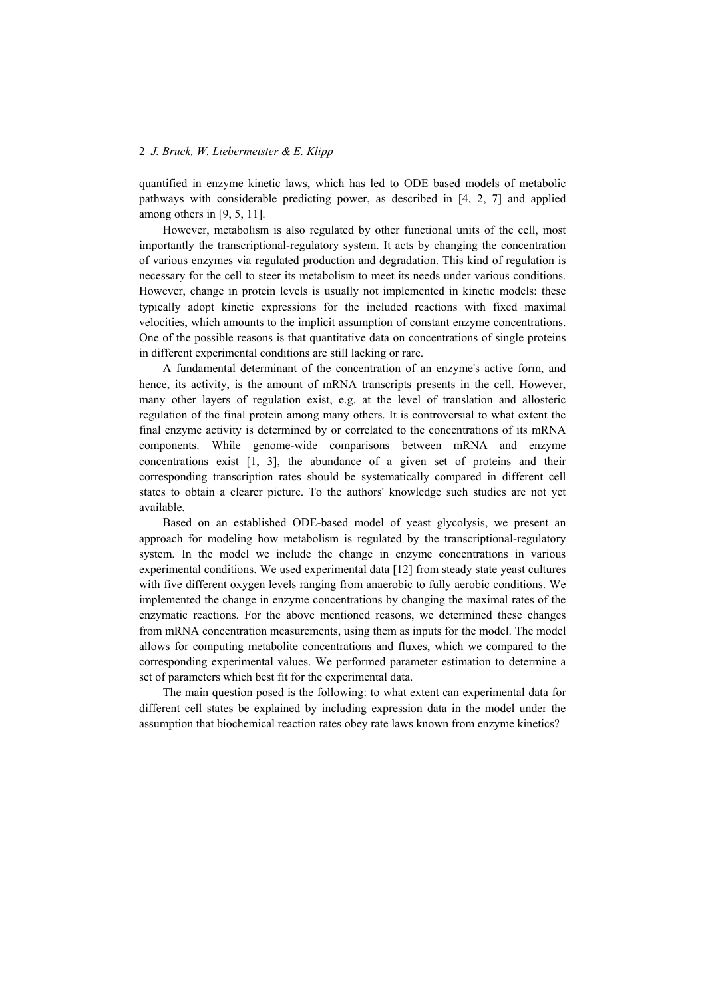## 2 *J. Bruck, W. Liebermeister & E. Klipp*

quantified in enzyme kinetic laws, which has led to ODE based models of metabolic pathways with considerable predicting power, as described in [4, 2, 7] and applied among others in  $[9, 5, 11]$ .

However, metabolism is also regulated by other functional units of the cell, most importantly the transcriptional-regulatory system. It acts by changing the concentration of various enzymes via regulated production and degradation. This kind of regulation is necessary for the cell to steer its metabolism to meet its needs under various conditions. However, change in protein levels is usually not implemented in kinetic models: these typically adopt kinetic expressions for the included reactions with fixed maximal velocities, which amounts to the implicit assumption of constant enzyme concentrations. One of the possible reasons is that quantitative data on concentrations of single proteins in different experimental conditions are still lacking or rare.

A fundamental determinant of the concentration of an enzyme's active form, and hence, its activity, is the amount of mRNA transcripts presents in the cell. However, many other layers of regulation exist, e.g. at the level of translation and allosteric regulation of the final protein among many others. It is controversial to what extent the final enzyme activity is determined by or correlated to the concentrations of its mRNA components. While genome-wide comparisons between mRNA and enzyme concentrations exist [1, 3], the abundance of a given set of proteins and their corresponding transcription rates should be systematically compared in different cell states to obtain a clearer picture. To the authors' knowledge such studies are not yet available.

Based on an established ODE-based model of yeast glycolysis, we present an approach for modeling how metabolism is regulated by the transcriptional-regulatory system. In the model we include the change in enzyme concentrations in various experimental conditions. We used experimental data [12] from steady state yeast cultures with five different oxygen levels ranging from anaerobic to fully aerobic conditions. We implemented the change in enzyme concentrations by changing the maximal rates of the enzymatic reactions. For the above mentioned reasons, we determined these changes from mRNA concentration measurements, using them as inputs for the model. The model allows for computing metabolite concentrations and fluxes, which we compared to the corresponding experimental values. We performed parameter estimation to determine a set of parameters which best fit for the experimental data.

The main question posed is the following: to what extent can experimental data for different cell states be explained by including expression data in the model under the assumption that biochemical reaction rates obey rate laws known from enzyme kinetics?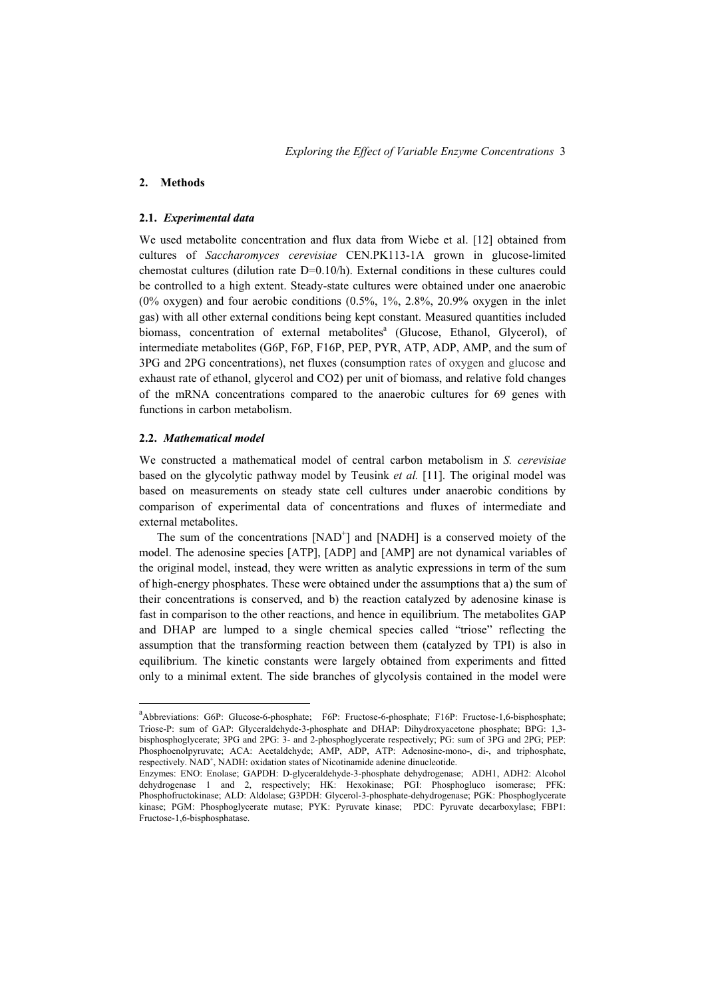# **2. Methods**

# **2.1.** *Experimental data*

We used metabolite concentration and flux data from Wiebe et al. [12] obtained from cultures of *Saccharomyces cerevisiae* CEN.PK113-1A grown in glucose-limited chemostat cultures (dilution rate  $D=0.10/h$ ). External conditions in these cultures could be controlled to a high extent. Steady-state cultures were obtained under one anaerobic  $(0\%$  oxygen) and four aerobic conditions  $(0.5\%, 1\%, 2.8\%, 20.9\%$  oxygen in the inlet gas) with all other external conditions being kept constant. Measured quantities included biomass, concentration of external metabolites<sup>a</sup> (Glucose, Ethanol, Glycerol), of intermediate metabolites (G6P, F6P, F16P, PEP, PYR, ATP, ADP, AMP, and the sum of 3PG and 2PG concentrations), net fluxes (consumption rates of oxygen and glucose and exhaust rate of ethanol, glycerol and CO2) per unit of biomass, and relative fold changes of the mRNA concentrations compared to the anaerobic cultures for 69 genes with functions in carbon metabolism.

# **2.2.** *Mathematical model*

 $\overline{a}$ 

We constructed a mathematical model of central carbon metabolism in *S. cerevisiae* based on the glycolytic pathway model by Teusink *et al.* [11]. The original model was based on measurements on steady state cell cultures under anaerobic conditions by comparison of experimental data of concentrations and fluxes of intermediate and external metabolites.

The sum of the concentrations [NAD<sup>+</sup>] and [NADH] is a conserved moiety of the model. The adenosine species [ATP], [ADP] and [AMP] are not dynamical variables of the original model, instead, they were written as analytic expressions in term of the sum of high-energy phosphates. These were obtained under the assumptions that a) the sum of their concentrations is conserved, and b) the reaction catalyzed by adenosine kinase is fast in comparison to the other reactions, and hence in equilibrium. The metabolites GAP and DHAP are lumped to a single chemical species called "triose" reflecting the assumption that the transforming reaction between them (catalyzed by TPI) is also in equilibrium. The kinetic constants were largely obtained from experiments and fitted only to a minimal extent. The side branches of glycolysis contained in the model were

<sup>&</sup>lt;sup>a</sup>Abbreviations: G6P: Glucose-6-phosphate; F6P: Fructose-6-phosphate; F16P: Fructose-1,6-bisphosphate; Triose-P: sum of GAP: Glyceraldehyde-3-phosphate and DHAP: Dihydroxyacetone phosphate; BPG: 1,3 bisphosphoglycerate; 3PG and 2PG: 3- and 2-phosphoglycerate respectively; PG: sum of 3PG and 2PG; PEP: Phosphoenolpyruvate; ACA: Acetaldehyde; AMP, ADP, ATP: Adenosine-mono-, di-, and triphosphate, respectively. NAD<sup>+</sup>, NADH: oxidation states of Nicotinamide adenine dinucleotide.

Enzymes: ENO: Enolase; GAPDH: D-glyceraldehyde-3-phosphate dehydrogenase; ADH1, ADH2: Alcohol dehydrogenase 1 and 2, respectively; HK: Hexokinase; PGI: Phosphogluco isomerase; PFK: Phosphofructokinase; ALD: Aldolase; G3PDH: Glycerol-3-phosphate-dehydrogenase; PGK: Phosphoglycerate kinase; PGM: Phosphoglycerate mutase; PYK: Pyruvate kinase; PDC: Pyruvate decarboxylase; FBP1: Fructose-1,6-bisphosphatase.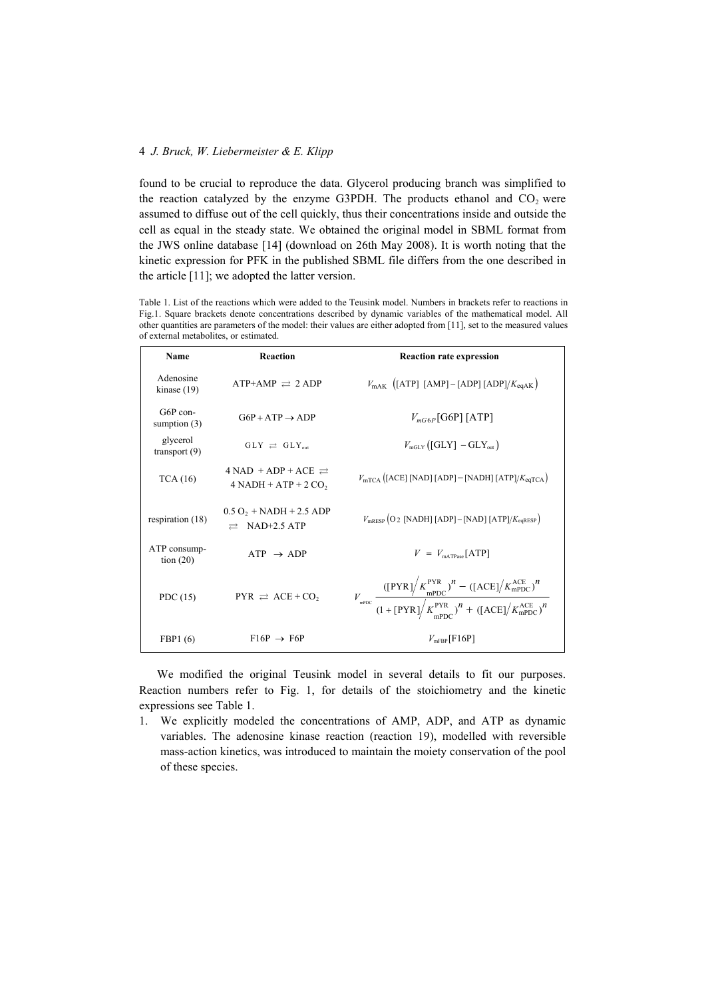# 4 *J. Bruck, W. Liebermeister & E. Klipp*

found to be crucial to reproduce the data. Glycerol producing branch was simplified to the reaction catalyzed by the enzyme G3PDH. The products ethanol and  $CO<sub>2</sub>$  were assumed to diffuse out of the cell quickly, thus their concentrations inside and outside the cell as equal in the steady state. We obtained the original model in SBML format from the JWS online database [14] (download on 26th May 2008). It is worth noting that the kinetic expression for PFK in the published SBML file differs from the one described in the article [11]; we adopted the latter version.

Table 1. List of the reactions which were added to the Teusink model. Numbers in brackets refer to reactions in Fig.1. Square brackets denote concentrations described by dynamic variables of the mathematical model. All other quantities are parameters of the model: their values are either adopted from [11], set to the measured values of external metabolites, or estimated.

| Name                               | <b>Reaction</b>                                                              | <b>Reaction rate expression</b>                                                                                                                                                                                                                                            |
|------------------------------------|------------------------------------------------------------------------------|----------------------------------------------------------------------------------------------------------------------------------------------------------------------------------------------------------------------------------------------------------------------------|
| Adenosine<br>kinase $(19)$         | $ATP+AMP \rightleftarrows 2 ADP$                                             | $V_{\text{mAK}}$ ([ATP] [AMP] - [ADP] [ADP]/ $K_{\text{eqAK}}$ )                                                                                                                                                                                                           |
| G6P con-<br>sumption $(3)$         | $G6P + ATP \rightarrow ADP$                                                  | $V_{mG6P}$ [G6P] [ATP]                                                                                                                                                                                                                                                     |
| glycerol<br>transport $(9)$        | $GLY \rightleftarrows GLY_{out}$                                             | $V_{\text{mGLY}}$ ([GLY] – GLY <sub>out</sub> )                                                                                                                                                                                                                            |
| TCA(16)                            | $4 NAD + ADP + ACE \rightleftharpoons$<br>$4$ NADH + ATP + 2 CO <sub>2</sub> | $V_{\text{mTCA}}$ ([ACE] [NAD] [ADP] – [NADH] [ATP]/ $K_{\text{eqTCA}}$ ]                                                                                                                                                                                                  |
| respiration (18)                   | $0.5 O_2$ + NADH + 2.5 ADP<br>$\implies$ NAD+2.5 ATP                         | $V_{\text{mRESP}}\left(\text{O}_2\left[\text{NADH}\right]\left[\text{ADP}\right]-\left[\text{NAD}\right]\left[\text{ATP}\right]/K_{\text{eqRESP}}\right)$                                                                                                                  |
| ATP consump-<br>$\frac{1}{2}$ (20) | $ATP \rightarrow ADP$                                                        | $V = V_{\text{max}}[\text{ATP}]$                                                                                                                                                                                                                                           |
| PDC $(15)$                         | $PYR \rightleftarrows ACE + CO,$                                             | $V_{\text{mPDC}} \frac{\left(\text{PYR}\right) / K_{\text{mPDC}}^{\text{PYR}})^n - \left(\text{ACE}\right) / K_{\text{mPDC}}^{\text{ACE}})^n}{\left(1 + \text{[PYR]}/ K_{\text{mPDC}}^{\text{PYR}}\right)^n + \left(\text{[ACE]} / K_{\text{mPDC}}^{\text{ACE}}\right)^n}$ |
| FBP1(6)                            | $F16P \rightarrow F6P$                                                       | $V_{\text{mFRP}}$ [F16P]                                                                                                                                                                                                                                                   |

We modified the original Teusink model in several details to fit our purposes. Reaction numbers refer to Fig. 1, for details of the stoichiometry and the kinetic expressions see Table 1.

1. We explicitly modeled the concentrations of AMP, ADP, and ATP as dynamic variables. The adenosine kinase reaction (reaction 19), modelled with reversible mass-action kinetics, was introduced to maintain the moiety conservation of the pool of these species.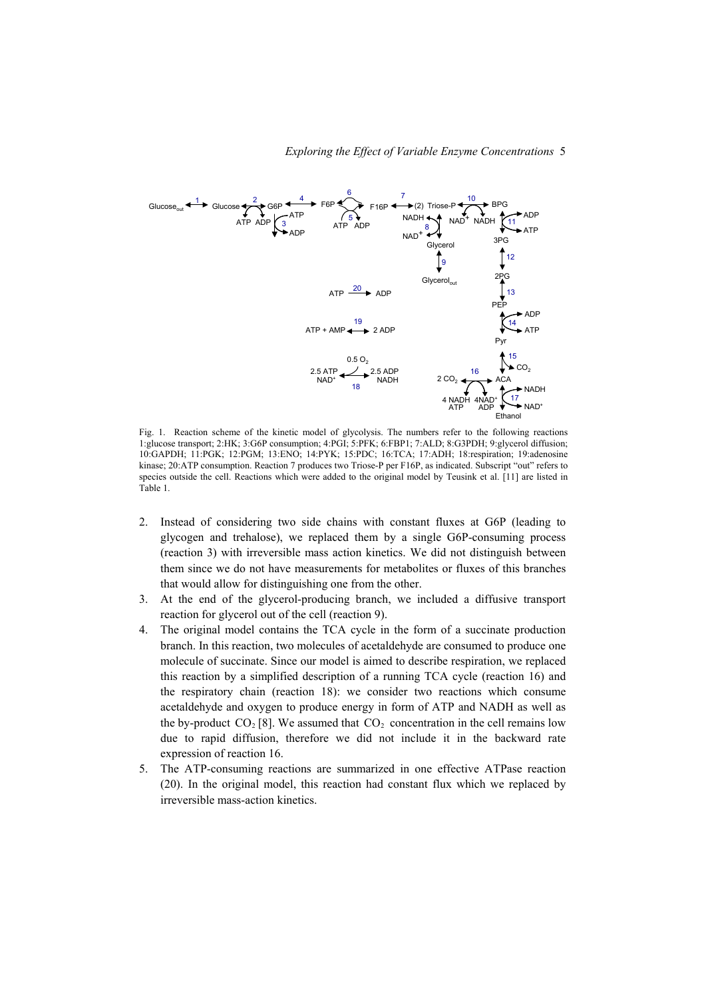

*Exploring the Effect of Variable Enzyme Concentrations* 5



Fig. 1. Reaction scheme of the kinetic model of glycolysis. The numbers refer to the following reactions 1:glucose transport; 2:HK; 3:G6P consumption; 4:PGI; 5:PFK; 6:FBP1; 7:ALD; 8:G3PDH; 9:glycerol diffusion; 10:GAPDH; 11:PGK; 12:PGM; 13:ENO; 14:PYK; 15:PDC; 16:TCA; 17:ADH; 18:respiration; 19:adenosine kinase; 20:ATP consumption. Reaction 7 produces two Triose-P per F16P, as indicated. Subscript "out" refers to species outside the cell. Reactions which were added to the original model by Teusink et al. [11] are listed in Table 1.

- 2. Instead of considering two side chains with constant fluxes at G6P (leading to glycogen and trehalose), we replaced them by a single G6P-consuming process (reaction 3) with irreversible mass action kinetics. We did not distinguish between them since we do not have measurements for metabolites or fluxes of this branches that would allow for distinguishing one from the other.
- 3. At the end of the glycerol-producing branch, we included a diffusive transport reaction for glycerol out of the cell (reaction 9).
- 4. The original model contains the TCA cycle in the form of a succinate production branch. In this reaction, two molecules of acetaldehyde are consumed to produce one molecule of succinate. Since our model is aimed to describe respiration, we replaced this reaction by a simplified description of a running TCA cycle (reaction 16) and the respiratory chain (reaction 18): we consider two reactions which consume acetaldehyde and oxygen to produce energy in form of ATP and NADH as well as the by-product  $CO_2$  [8]. We assumed that  $CO_2$  concentration in the cell remains low due to rapid diffusion, therefore we did not include it in the backward rate expression of reaction 16.
- 5. The ATP-consuming reactions are summarized in one effective ATPase reaction (20). In the original model, this reaction had constant flux which we replaced by irreversible mass-action kinetics.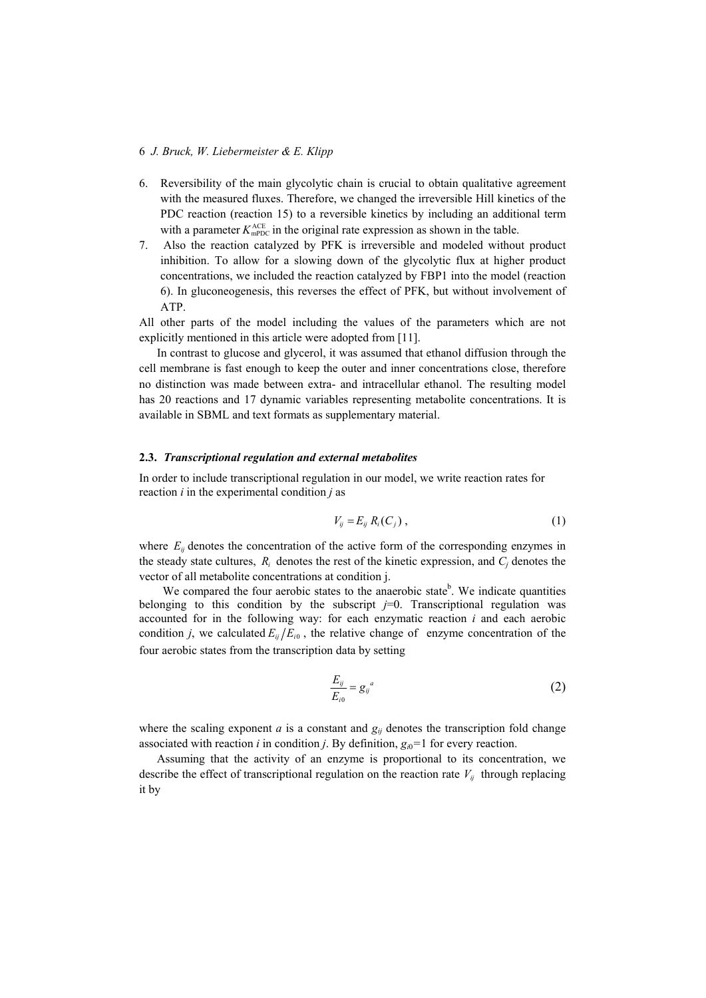# 6 *J. Bruck, W. Liebermeister & E. Klipp*

- 6. Reversibility of the main glycolytic chain is crucial to obtain qualitative agreement with the measured fluxes. Therefore, we changed the irreversible Hill kinetics of the PDC reaction (reaction 15) to a reversible kinetics by including an additional term with a parameter  $K_{\text{mPDC}}^{\text{ACE}}$  in the original rate expression as shown in the table.
- 7. Also the reaction catalyzed by PFK is irreversible and modeled without product inhibition. To allow for a slowing down of the glycolytic flux at higher product concentrations, we included the reaction catalyzed by FBP1 into the model (reaction 6). In gluconeogenesis, this reverses the effect of PFK, but without involvement of ATP.

All other parts of the model including the values of the parameters which are not explicitly mentioned in this article were adopted from [11].

In contrast to glucose and glycerol, it was assumed that ethanol diffusion through the cell membrane is fast enough to keep the outer and inner concentrations close, therefore no distinction was made between extra- and intracellular ethanol. The resulting model has 20 reactions and 17 dynamic variables representing metabolite concentrations. It is available in SBML and text formats as supplementary material.

# **2.3.** *Transcriptional regulation and external metabolites*

In order to include transcriptional regulation in our model, we write reaction rates for reaction  $i$  in the experimental condition  $j$  as

$$
V_{ij} = E_{ij} R_i(C_j) , \qquad (1)
$$

where  $E_{ij}$  denotes the concentration of the active form of the corresponding enzymes in the steady state cultures,  $R_i$  denotes the rest of the kinetic expression, and  $C_i$  denotes the vector of all metabolite concentrations at condition j.

We compared the four aerobic states to the anaerobic state<sup>b</sup>. We indicate quantities belonging to this condition by the subscript  $j=0$ . Transcriptional regulation was accounted for in the following way: for each enzymatic reaction *i* and each aerobic condition *j*, we calculated  $E_{ii}/E_{i0}$ , the relative change of enzyme concentration of the four aerobic states from the transcription data by setting

$$
\frac{E_{ij}}{E_{i0}} = g_{ij}^a \tag{2}
$$

where the scaling exponent  $a$  is a constant and  $g_{ij}$  denotes the transcription fold change associated with reaction *i* in condition *j*. By definition,  $g_{i0}$ =1 for every reaction.

Assuming that the activity of an enzyme is proportional to its concentration, we describe the effect of transcriptional regulation on the reaction rate  $V_{ii}$  through replacing it by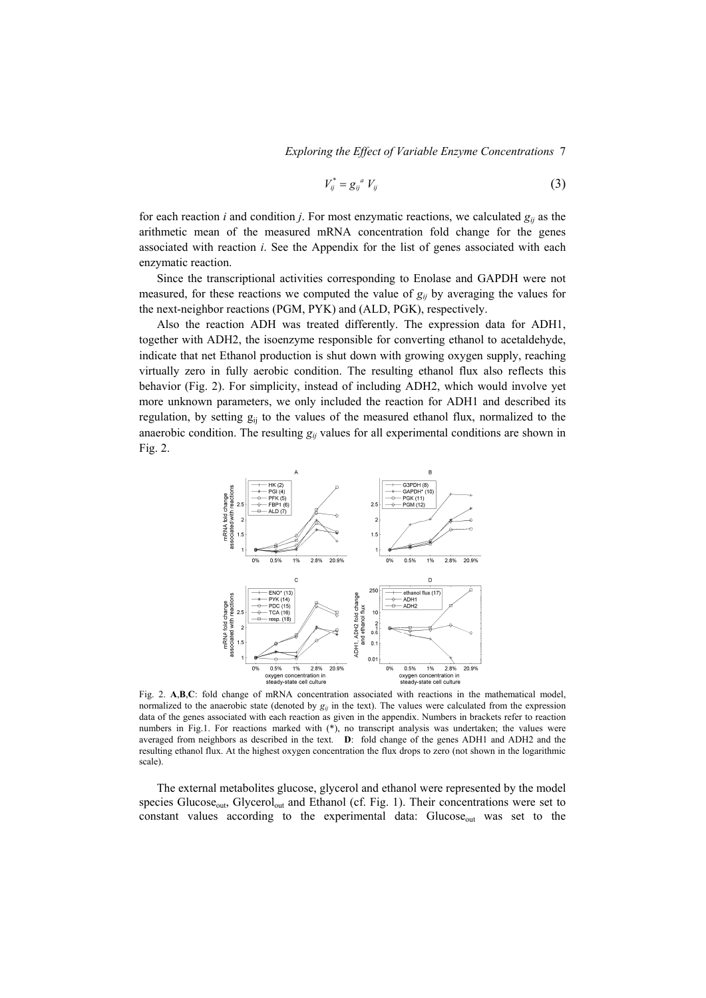*Exploring the Effect of Variable Enzyme Concentrations* 7

$$
V_{ij}^* = g_{ij}^{\ a} V_{ij} \tag{3}
$$

for each reaction *i* and condition *j*. For most enzymatic reactions, we calculated  $g_{ij}$  as the arithmetic mean of the measured mRNA concentration fold change for the genes associated with reaction *i*. See the Appendix for the list of genes associated with each enzymatic reaction.

Since the transcriptional activities corresponding to Enolase and GAPDH were not measured, for these reactions we computed the value of  $g_{ij}$  by averaging the values for the next-neighbor reactions (PGM, PYK) and (ALD, PGK), respectively.

Also the reaction ADH was treated differently. The expression data for ADH1, together with ADH2, the isoenzyme responsible for converting ethanol to acetaldehyde, indicate that net Ethanol production is shut down with growing oxygen supply, reaching virtually zero in fully aerobic condition. The resulting ethanol flux also reflects this behavior (Fig. 2). For simplicity, instead of including ADH2, which would involve yet more unknown parameters, we only included the reaction for ADH1 and described its regulation, by setting  $g_{ii}$  to the values of the measured ethanol flux, normalized to the anaerobic condition. The resulting *gij* values for all experimental conditions are shown in Fig. 2.



Fig. 2. **A**,**B**,**C**: fold change of mRNA concentration associated with reactions in the mathematical model, normalized to the anaerobic state (denoted by  $g_{ij}$  in the text). The values were calculated from the expression data of the genes associated with each reaction as given in the appendix. Numbers in brackets refer to reaction numbers in Fig.1. For reactions marked with (\*), no transcript analysis was undertaken; the values were averaged from neighbors as described in the text. **D**: fold change of the genes ADH1 and ADH2 and the resulting ethanol flux. At the highest oxygen concentration the flux drops to zero (not shown in the logarithmic scale).

The external metabolites glucose, glycerol and ethanol were represented by the model species Glucose<sub>out</sub>, Glycerol<sub>out</sub> and Ethanol (cf. Fig. 1). Their concentrations were set to constant values according to the experimental data: Glucose<sub>out</sub> was set to the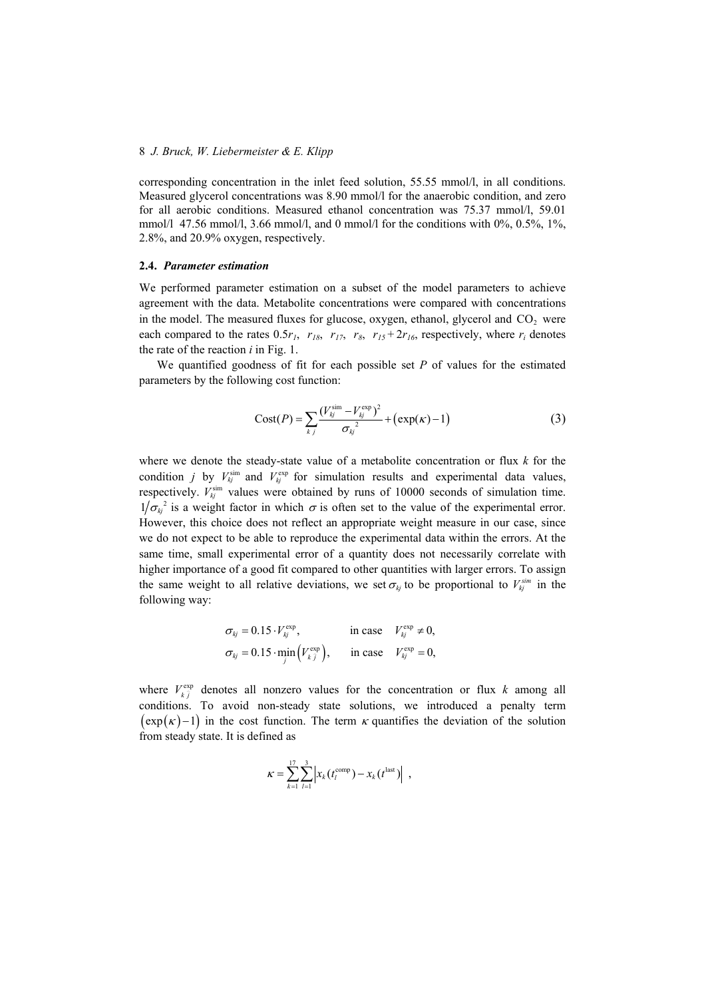corresponding concentration in the inlet feed solution, 55.55 mmol/l, in all conditions. Measured glycerol concentrations was 8.90 mmol/l for the anaerobic condition, and zero for all aerobic conditions. Measured ethanol concentration was 75.37 mmol/l, 59.01 mmol/l 47.56 mmol/l, 3.66 mmol/l, and 0 mmol/l for the conditions with 0%, 0.5%, 1%, 2.8%, and 20.9% oxygen, respectively.

#### **2.4.** *Parameter estimation*

We performed parameter estimation on a subset of the model parameters to achieve agreement with the data. Metabolite concentrations were compared with concentrations in the model. The measured fluxes for glucose, oxygen, ethanol, glycerol and  $CO<sub>2</sub>$  were each compared to the rates  $0.5r_1$ ,  $r_{18}$ ,  $r_{17}$ ,  $r_8$ ,  $r_{15} + 2r_{16}$ , respectively, where  $r_i$  denotes the rate of the reaction *i* in Fig. 1.

We quantified goodness of fit for each possible set *P* of values for the estimated parameters by the following cost function:

Cost(P) = 
$$
\sum_{k} \frac{(V_{kj}^{\text{sim}} - V_{kj}^{\text{exp}})^2}{\sigma_{kj}^2} + (\exp(\kappa) - 1)
$$
 (3)

where we denote the steady-state value of a metabolite concentration or flux *k* for the condition *j* by  $V_{kj}^{\text{sim}}$  and  $V_{kj}^{\text{exp}}$  for simulation results and experimental data values, respectively.  $V_{kj}^{sim}$  values were obtained by runs of 10000 seconds of simulation time.  $1/\sigma_{kj}^2$  is a weight factor in which  $\sigma$  is often set to the value of the experimental error. However, this choice does not reflect an appropriate weight measure in our case, since we do not expect to be able to reproduce the experimental data within the errors. At the same time, small experimental error of a quantity does not necessarily correlate with higher importance of a good fit compared to other quantities with larger errors. To assign the same weight to all relative deviations, we set  $\sigma_{kj}$  to be proportional to  $V_{ki}^{sim}$  in the following way:

$$
\sigma_{kj} = 0.15 \cdot V_{kj}^{\text{exp}}, \qquad \text{in case} \quad V_{kj}^{\text{exp}} \neq 0, \n\sigma_{kj} = 0.15 \cdot \min_{j} \left( V_{kj}^{\text{exp}} \right), \qquad \text{in case} \quad V_{kj}^{\text{exp}} = 0,
$$

where  $V_{\vec{k}}^{\text{exp}}$  denotes all nonzero values for the concentration or flux *k* among all conditions. To avoid non-steady state solutions, we introduced a penalty term  $(\exp(\kappa) - 1)$  in the cost function. The term  $\kappa$  quantifies the deviation of the solution from steady state. It is defined as

$$
\kappa = \sum_{k=1}^{17} \sum_{l=1}^{3} \left| x_k(t_l^{\text{comp}}) - x_k(t^{\text{last}}) \right| ,
$$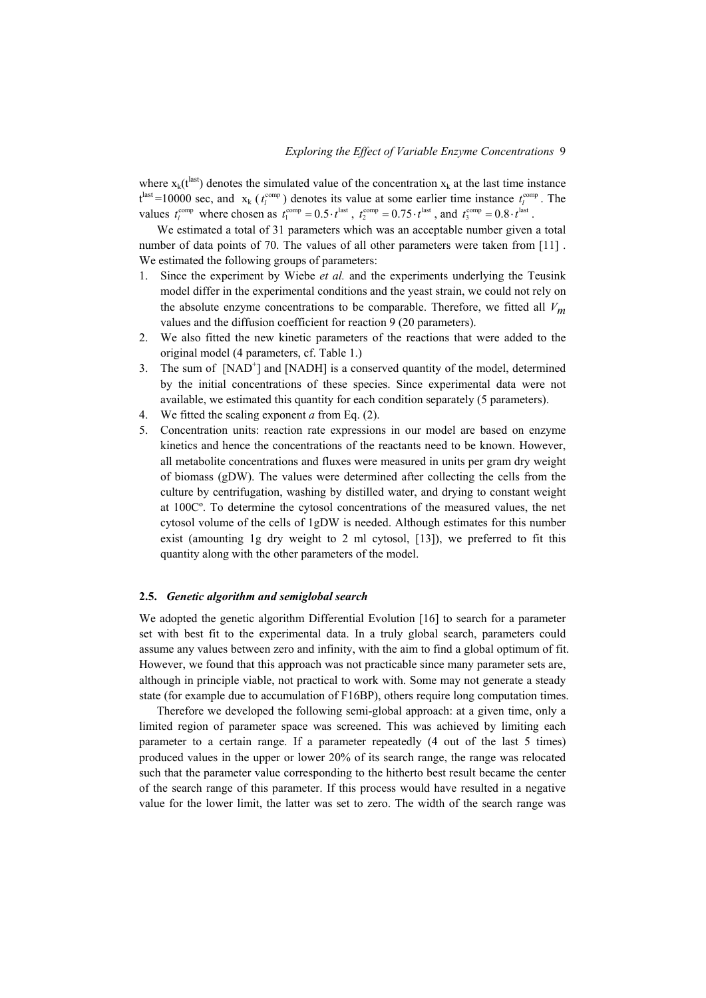where  $x_k(t^{last})$  denotes the simulated value of the concentration  $x_k$  at the last time instance  $t^{\text{last}} = 10000 \text{ sec}$ , and  $x_k$  ( $t^{\text{comp}}_l$ ) denotes its value at some earlier time instance  $t^{\text{comp}}_l$ . The values  $t_l^{\text{comp}}$  where chosen as  $t_l^{\text{comp}} = 0.5 \cdot t^{\text{last}}$ ,  $t_2^{\text{comp}} = 0.75 \cdot t^{\text{last}}$ , and  $t_3^{\text{comp}} = 0.8 \cdot t^{\text{last}}$ .

We estimated a total of 31 parameters which was an acceptable number given a total number of data points of 70. The values of all other parameters were taken from [11] . We estimated the following groups of parameters:

- 1. Since the experiment by Wiebe *et al.* and the experiments underlying the Teusink model differ in the experimental conditions and the yeast strain, we could not rely on the absolute enzyme concentrations to be comparable. Therefore, we fitted all *Vm* values and the diffusion coefficient for reaction 9 (20 parameters).
- 2. We also fitted the new kinetic parameters of the reactions that were added to the original model (4 parameters, cf. Table 1.)
- 3. The sum of [NAD<sup>+</sup>] and [NADH] is a conserved quantity of the model, determined by the initial concentrations of these species. Since experimental data were not available, we estimated this quantity for each condition separately (5 parameters).
- 4. We fitted the scaling exponent *a* from Eq. (2).
- 5. Concentration units: reaction rate expressions in our model are based on enzyme kinetics and hence the concentrations of the reactants need to be known. However, all metabolite concentrations and fluxes were measured in units per gram dry weight of biomass (gDW). The values were determined after collecting the cells from the culture by centrifugation, washing by distilled water, and drying to constant weight at 100Cº. To determine the cytosol concentrations of the measured values, the net cytosol volume of the cells of 1gDW is needed. Although estimates for this number exist (amounting 1g dry weight to 2 ml cytosol, [13]), we preferred to fit this quantity along with the other parameters of the model.

## **2.5.** *Genetic algorithm and semiglobal search*

We adopted the genetic algorithm Differential Evolution [16] to search for a parameter set with best fit to the experimental data. In a truly global search, parameters could assume any values between zero and infinity, with the aim to find a global optimum of fit. However, we found that this approach was not practicable since many parameter sets are, although in principle viable, not practical to work with. Some may not generate a steady state (for example due to accumulation of F16BP), others require long computation times.

Therefore we developed the following semi-global approach: at a given time, only a limited region of parameter space was screened. This was achieved by limiting each parameter to a certain range. If a parameter repeatedly (4 out of the last 5 times) produced values in the upper or lower 20% of its search range, the range was relocated such that the parameter value corresponding to the hitherto best result became the center of the search range of this parameter. If this process would have resulted in a negative value for the lower limit, the latter was set to zero. The width of the search range was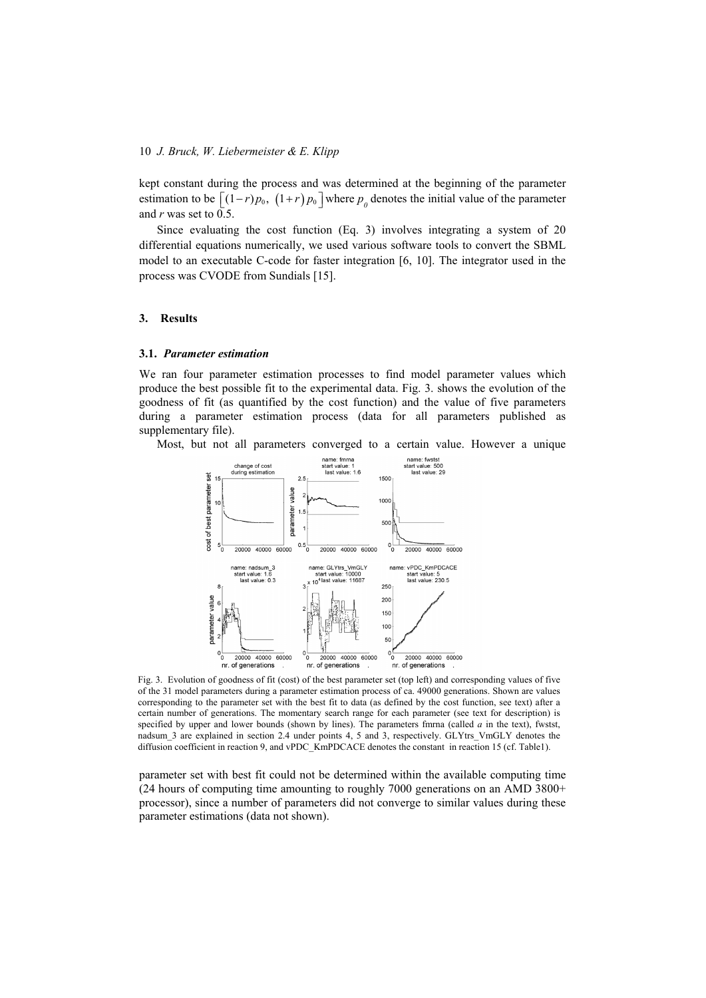kept constant during the process and was determined at the beginning of the parameter estimation to be  $\lfloor (1-r)p_0, (1+r)p_0 \rfloor$  where  $p_0$  denotes the initial value of the parameter and *r* was set to  $0.5$ .

Since evaluating the cost function (Eq. 3) involves integrating a system of 20 differential equations numerically, we used various software tools to convert the SBML model to an executable C-code for faster integration [6, 10]. The integrator used in the process was CVODE from Sundials [15].

#### **3. Results**

#### **3.1.** *Parameter estimation*

We ran four parameter estimation processes to find model parameter values which produce the best possible fit to the experimental data. Fig. 3. shows the evolution of the goodness of fit (as quantified by the cost function) and the value of five parameters during a parameter estimation process (data for all parameters published as supplementary file).

Most, but not all parameters converged to a certain value. However a unique



Fig. 3. Evolution of goodness of fit (cost) of the best parameter set (top left) and corresponding values of five of the 31 model parameters during a parameter estimation process of ca. 49000 generations. Shown are values corresponding to the parameter set with the best fit to data (as defined by the cost function, see text) after a certain number of generations. The momentary search range for each parameter (see text for description) is specified by upper and lower bounds (shown by lines). The parameters fmrna (called *a* in the text), fwstst, nadsum\_3 are explained in section 2.4 under points 4, 5 and 3, respectively. GLYtrs\_VmGLY denotes the diffusion coefficient in reaction 9, and vPDC\_KmPDCACE denotes the constant in reaction 15 (cf. Table1).

parameter set with best fit could not be determined within the available computing time (24 hours of computing time amounting to roughly 7000 generations on an AMD 3800+ processor), since a number of parameters did not converge to similar values during these parameter estimations (data not shown).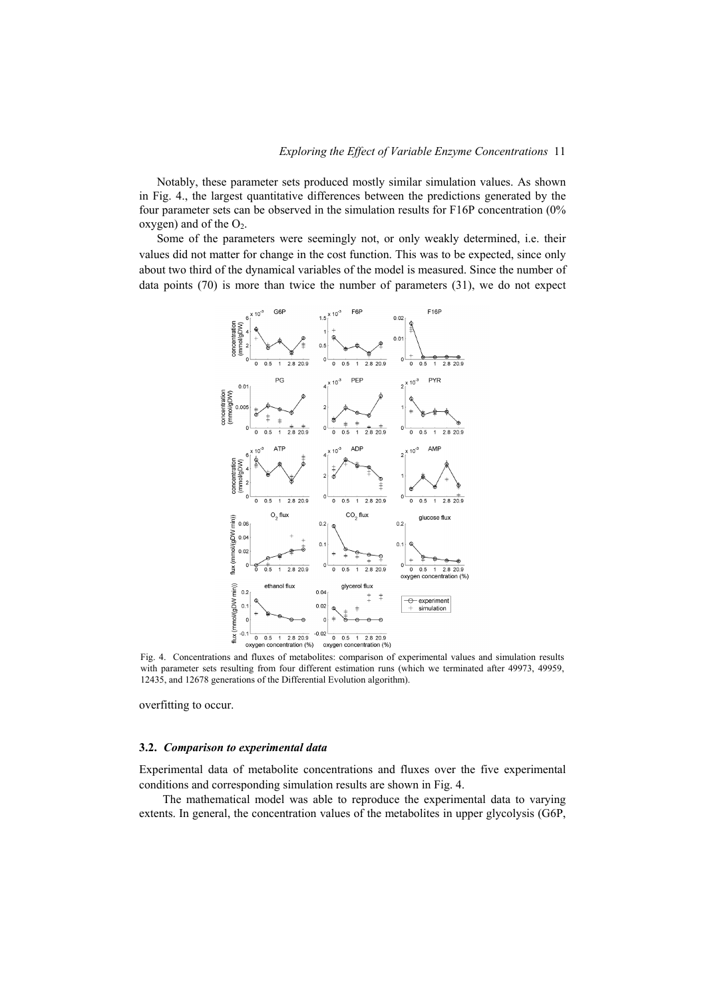Notably, these parameter sets produced mostly similar simulation values. As shown in Fig. 4., the largest quantitative differences between the predictions generated by the four parameter sets can be observed in the simulation results for F16P concentration (0% oxygen) and of the  $O_2$ .

Some of the parameters were seemingly not, or only weakly determined, i.e. their values did not matter for change in the cost function. This was to be expected, since only about two third of the dynamical variables of the model is measured. Since the number of data points (70) is more than twice the number of parameters (31), we do not expect



Fig. 4. Concentrations and fluxes of metabolites: comparison of experimental values and simulation results with parameter sets resulting from four different estimation runs (which we terminated after 49973, 49959, 12435, and 12678 generations of the Differential Evolution algorithm).

overfitting to occur.

#### **3.2.** *Comparison to experimental data*

Experimental data of metabolite concentrations and fluxes over the five experimental conditions and corresponding simulation results are shown in Fig. 4.

The mathematical model was able to reproduce the experimental data to varying extents. In general, the concentration values of the metabolites in upper glycolysis (G6P,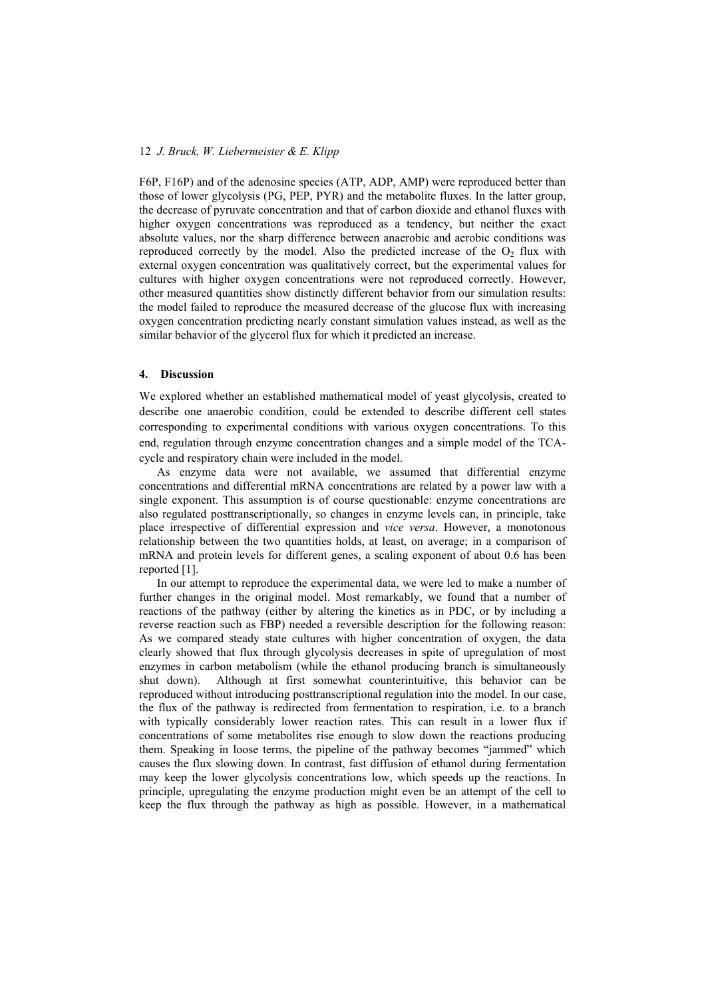F6P, F16P) and of the adenosine species (ATP, ADP, AMP) were reproduced better than those of lower glycolysis (PG, PEP, PYR) and the metabolite fluxes. In the latter group, the decrease of pyruvate concentration and that of carbon dioxide and ethanol fluxes with higher oxygen concentrations was reproduced as a tendency, but neither the exact absolute values, nor the sharp difference between anaerobic and aerobic conditions was reproduced correctly by the model. Also the predicted increase of the  $O<sub>2</sub>$  flux with external oxygen concentration was qualitatively correct, but the experimental values for cultures with higher oxygen concentrations were not reproduced correctly. However, other measured quantities show distinctly different behavior from our simulation results: the model failed to reproduce the measured decrease of the glucose flux with increasing oxygen concentration predicting nearly constant simulation values instead, as well as the similar behavior of the glycerol flux for which it predicted an increase.

# **4. Discussion**

We explored whether an established mathematical model of yeast glycolysis, created to describe one anaerobic condition, could be extended to describe different cell states corresponding to experimental conditions with various oxygen concentrations. To this end, regulation through enzyme concentration changes and a simple model of the TCAcycle and respiratory chain were included in the model.

As enzyme data were not available, we assumed that differential enzyme concentrations and differential mRNA concentrations are related by a power law with a single exponent. This assumption is of course questionable: enzyme concentrations are also regulated posttranscriptionally, so changes in enzyme levels can, in principle, take place irrespective of differential expression and *vice versa*. However, a monotonous relationship between the two quantities holds, at least, on average; in a comparison of mRNA and protein levels for different genes, a scaling exponent of about 0.6 has been reported [1].

In our attempt to reproduce the experimental data, we were led to make a number of further changes in the original model. Most remarkably, we found that a number of reactions of the pathway (either by altering the kinetics as in PDC, or by including a reverse reaction such as FBP) needed a reversible description for the following reason: As we compared steady state cultures with higher concentration of oxygen, the data clearly showed that flux through glycolysis decreases in spite of upregulation of most enzymes in carbon metabolism (while the ethanol producing branch is simultaneously shut down). Although at first somewhat counterintuitive, this behavior can be reproduced without introducing posttranscriptional regulation into the model. In our case, the flux of the pathway is redirected from fermentation to respiration, i.e. to a branch with typically considerably lower reaction rates. This can result in a lower flux if concentrations of some metabolites rise enough to slow down the reactions producing them. Speaking in loose terms, the pipeline of the pathway becomes "jammed" which causes the flux slowing down. In contrast, fast diffusion of ethanol during fermentation may keep the lower glycolysis concentrations low, which speeds up the reactions. In principle, upregulating the enzyme production might even be an attempt of the cell to keep the flux through the pathway as high as possible. However, in a mathematical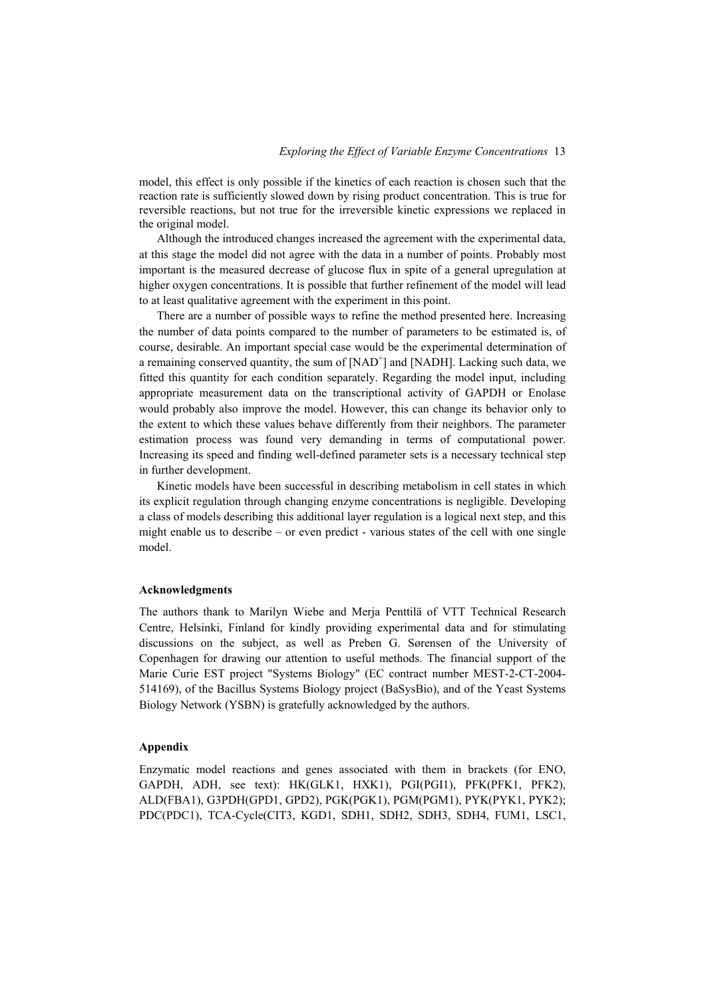model, this effect is only possible if the kinetics of each reaction is chosen such that the reaction rate is sufficiently slowed down by rising product concentration. This is true for reversible reactions, but not true for the irreversible kinetic expressions we replaced in the original model.

Although the introduced changes increased the agreement with the experimental data, at this stage the model did not agree with the data in a number of points. Probably most important is the measured decrease of glucose flux in spite of a general upregulation at higher oxygen concentrations. It is possible that further refinement of the model will lead to at least qualitative agreement with the experiment in this point.

There are a number of possible ways to refine the method presented here. Increasing the number of data points compared to the number of parameters to be estimated is, of course, desirable. An important special case would be the experimental determination of a remaining conserved quantity, the sum of [NAD<sup>+</sup>] and [NADH]. Lacking such data, we fitted this quantity for each condition separately. Regarding the model input, including appropriate measurement data on the transcriptional activity of GAPDH or Enolase would probably also improve the model. However, this can change its behavior only to the extent to which these values behave differently from their neighbors. The parameter estimation process was found very demanding in terms of computational power. Increasing its speed and finding well-defined parameter sets is a necessary technical step in further development.

Kinetic models have been successful in describing metabolism in cell states in which its explicit regulation through changing enzyme concentrations is negligible. Developing a class of models describing this additional layer regulation is a logical next step, and this might enable us to describe – or even predict - various states of the cell with one single model.

# **Acknowledgments**

The authors thank to Marilyn Wiebe and Merja Penttilä of VTT Technical Research Centre, Helsinki, Finland for kindly providing experimental data and for stimulating discussions on the subject, as well as Preben G. Sørensen of the University of Copenhagen for drawing our attention to useful methods. The financial support of the Marie Curie EST project "Systems Biology" (EC contract number MEST-2-CT-2004- 514169), of the Bacillus Systems Biology project (BaSysBio), and of the Yeast Systems Biology Network (YSBN) is gratefully acknowledged by the authors.

#### **Appendix**

Enzymatic model reactions and genes associated with them in brackets (for ENO, GAPDH, ADH, see text): HK(GLK1, HXK1), PGI(PGI1), PFK(PFK1, PFK2), ALD(FBA1), G3PDH(GPD1, GPD2), PGK(PGK1), PGM(PGM1), PYK(PYK1, PYK2); PDC(PDC1), TCA-Cycle(CIT3, KGD1, SDH1, SDH2, SDH3, SDH4, FUM1, LSC1,